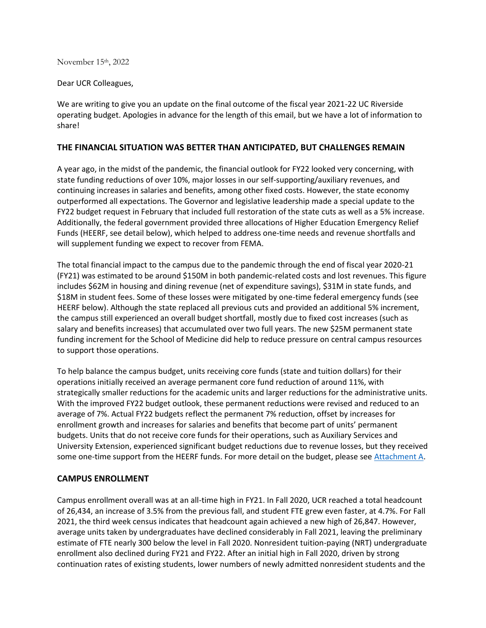November 15th, 2022

Dear UCR Colleagues,

We are writing to give you an update on the final outcome of the fiscal year 2021-22 UC Riverside operating budget. Apologies in advance for the length of this email, but we have a lot of information to share!

## **THE FINANCIAL SITUATION WAS BETTER THAN ANTICIPATED, BUT CHALLENGES REMAIN**

A year ago, in the midst of the pandemic, the financial outlook for FY22 looked very concerning, with state funding reductions of over 10%, major losses in our self-supporting/auxiliary revenues, and continuing increases in salaries and benefits, among other fixed costs. However, the state economy outperformed all expectations. The Governor and legislative leadership made a special update to the FY22 budget request in February that included full restoration of the state cuts as well as a 5% increase. Additionally, the federal government provided three allocations of Higher Education Emergency Relief Funds (HEERF, see detail below), which helped to address one-time needs and revenue shortfalls and will supplement funding we expect to recover from FEMA.

The total financial impact to the campus due to the pandemic through the end of fiscal year 2020-21 (FY21) was estimated to be around \$150M in both pandemic-related costs and lost revenues. This figure includes \$62M in housing and dining revenue (net of expenditure savings), \$31M in state funds, and \$18M in student fees. Some of these losses were mitigated by one-time federal emergency funds (see HEERF below). Although the state replaced all previous cuts and provided an additional 5% increment, the campus still experienced an overall budget shortfall, mostly due to fixed cost increases (such as salary and benefits increases) that accumulated over two full years. The new \$25M permanent state funding increment for the School of Medicine did help to reduce pressure on central campus resources to support those operations.

To help balance the campus budget, units receiving core funds (state and tuition dollars) for their operations initially received an average permanent core fund reduction of around 11%, with strategically smaller reductions for the academic units and larger reductions for the administrative units. With the improved FY22 budget outlook, these permanent reductions were revised and reduced to an average of 7%. Actual FY22 budgets reflect the permanent 7% reduction, offset by increases for enrollment growth and increases for salaries and benefits that become part of units' permanent budgets. Units that do not receive core funds for their operations, such as Auxiliary Services and University Extension, experienced significant budget reductions due to revenue losses, but they received some one-time support from the HEERF funds. For more detail on the budget, please see [Attachment A.](https://provost.ucr.edu/document/fy22-budget-attachment)

### **CAMPUS ENROLLMENT**

Campus enrollment overall was at an all-time high in FY21. In Fall 2020, UCR reached a total headcount of 26,434, an increase of 3.5% from the previous fall, and student FTE grew even faster, at 4.7%. For Fall 2021, the third week census indicates that headcount again achieved a new high of 26,847. However, average units taken by undergraduates have declined considerably in Fall 2021, leaving the preliminary estimate of FTE nearly 300 below the level in Fall 2020. Nonresident tuition-paying (NRT) undergraduate enrollment also declined during FY21 and FY22. After an initial high in Fall 2020, driven by strong continuation rates of existing students, lower numbers of newly admitted nonresident students and the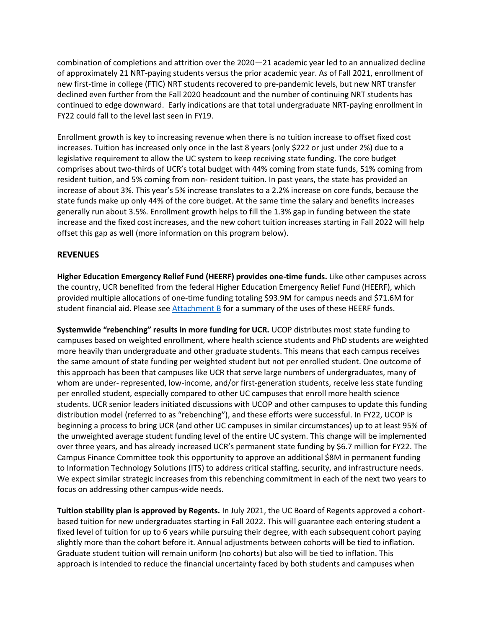combination of completions and attrition over the 2020—21 academic year led to an annualized decline of approximately 21 NRT-paying students versus the prior academic year. As of Fall 2021, enrollment of new first-time in college (FTIC) NRT students recovered to pre-pandemic levels, but new NRT transfer declined even further from the Fall 2020 headcount and the number of continuing NRT students has continued to edge downward. Early indications are that total undergraduate NRT-paying enrollment in FY22 could fall to the level last seen in FY19.

Enrollment growth is key to increasing revenue when there is no tuition increase to offset fixed cost increases. Tuition has increased only once in the last 8 years (only \$222 or just under 2%) due to a legislative requirement to allow the UC system to keep receiving state funding. The core budget comprises about two-thirds of UCR's total budget with 44% coming from state funds, 51% coming from resident tuition, and 5% coming from non- resident tuition. In past years, the state has provided an increase of about 3%. This year's 5% increase translates to a 2.2% increase on core funds, because the state funds make up only 44% of the core budget. At the same time the salary and benefits increases generally run about 3.5%. Enrollment growth helps to fill the 1.3% gap in funding between the state increase and the fixed cost increases, and the new cohort tuition increases starting in Fall 2022 will help offset this gap as well (more information on this program below).

## **REVENUES**

**Higher Education Emergency Relief Fund (HEERF) provides one-time funds.** Like other campuses across the country, UCR benefited from the federal Higher Education Emergency Relief Fund (HEERF), which provided multiple allocations of one-time funding totaling \$93.9M for campus needs and \$71.6M for student financial aid. Please see [Attachment B](https://provost.ucr.edu/document/fy22-budget-attachment-b) for a summary of the uses of these HEERF funds.

**Systemwide "rebenching" results in more funding for UCR.** UCOP distributes most state funding to campuses based on weighted enrollment, where health science students and PhD students are weighted more heavily than undergraduate and other graduate students. This means that each campus receives the same amount of state funding per weighted student but not per enrolled student. One outcome of this approach has been that campuses like UCR that serve large numbers of undergraduates, many of whom are under- represented, low-income, and/or first-generation students, receive less state funding per enrolled student, especially compared to other UC campuses that enroll more health science students. UCR senior leaders initiated discussions with UCOP and other campuses to update this funding distribution model (referred to as "rebenching"), and these efforts were successful. In FY22, UCOP is beginning a process to bring UCR (and other UC campuses in similar circumstances) up to at least 95% of the unweighted average student funding level of the entire UC system. This change will be implemented over three years, and has already increased UCR's permanent state funding by \$6.7 million for FY22. The Campus Finance Committee took this opportunity to approve an additional \$8M in permanent funding to Information Technology Solutions (ITS) to address critical staffing, security, and infrastructure needs. We expect similar strategic increases from this rebenching commitment in each of the next two years to focus on addressing other campus-wide needs.

**Tuition stability plan is approved by Regents.** In July 2021, the UC Board of Regents approved a cohortbased tuition for new undergraduates starting in Fall 2022. This will guarantee each entering student a fixed level of tuition for up to 6 years while pursuing their degree, with each subsequent cohort paying slightly more than the cohort before it. Annual adjustments between cohorts will be tied to inflation. Graduate student tuition will remain uniform (no cohorts) but also will be tied to inflation. This approach is intended to reduce the financial uncertainty faced by both students and campuses when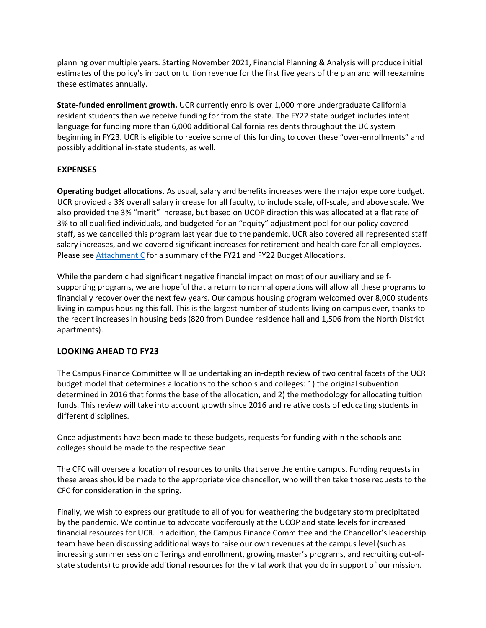planning over multiple years. Starting November 2021, Financial Planning & Analysis will produce initial estimates of the policy's impact on tuition revenue for the first five years of the plan and will reexamine these estimates annually.

**State-funded enrollment growth.** UCR currently enrolls over 1,000 more undergraduate California resident students than we receive funding for from the state. The FY22 state budget includes intent language for funding more than 6,000 additional California residents throughout the UC system beginning in FY23. UCR is eligible to receive some of this funding to cover these "over-enrollments" and possibly additional in-state students, as well.

## **EXPENSES**

**Operating budget allocations.** As usual, salary and benefits increases were the major expe core budget. UCR provided a 3% overall salary increase for all faculty, to include scale, off-scale, and above scale. We also provided the 3% "merit" increase, but based on UCOP direction this was allocated at a flat rate of 3% to all qualified individuals, and budgeted for an "equity" adjustment pool for our policy covered staff, as we cancelled this program last year due to the pandemic. UCR also covered all represented staff salary increases, and we covered significant increases for retirement and health care for all employees. Please see [Attachment C](https://provost.ucr.edu/document/fy22-budget-attachment-c) for a summary of the FY21 and FY22 Budget Allocations.

While the pandemic had significant negative financial impact on most of our auxiliary and selfsupporting programs, we are hopeful that a return to normal operations will allow all these programs to financially recover over the next few years. Our campus housing program welcomed over 8,000 students living in campus housing this fall. This is the largest number of students living on campus ever, thanks to the recent increases in housing beds (820 from Dundee residence hall and 1,506 from the North District apartments).

# **LOOKING AHEAD TO FY23**

The Campus Finance Committee will be undertaking an in-depth review of two central facets of the UCR budget model that determines allocations to the schools and colleges: 1) the original subvention determined in 2016 that forms the base of the allocation, and 2) the methodology for allocating tuition funds. This review will take into account growth since 2016 and relative costs of educating students in different disciplines.

Once adjustments have been made to these budgets, requests for funding within the schools and colleges should be made to the respective dean.

The CFC will oversee allocation of resources to units that serve the entire campus. Funding requests in these areas should be made to the appropriate vice chancellor, who will then take those requests to the CFC for consideration in the spring.

Finally, we wish to express our gratitude to all of you for weathering the budgetary storm precipitated by the pandemic. We continue to advocate vociferously at the UCOP and state levels for increased financial resources for UCR. In addition, the Campus Finance Committee and the Chancellor's leadership team have been discussing additional ways to raise our own revenues at the campus level (such as increasing summer session offerings and enrollment, growing master's programs, and recruiting out-ofstate students) to provide additional resources for the vital work that you do in support of our mission.